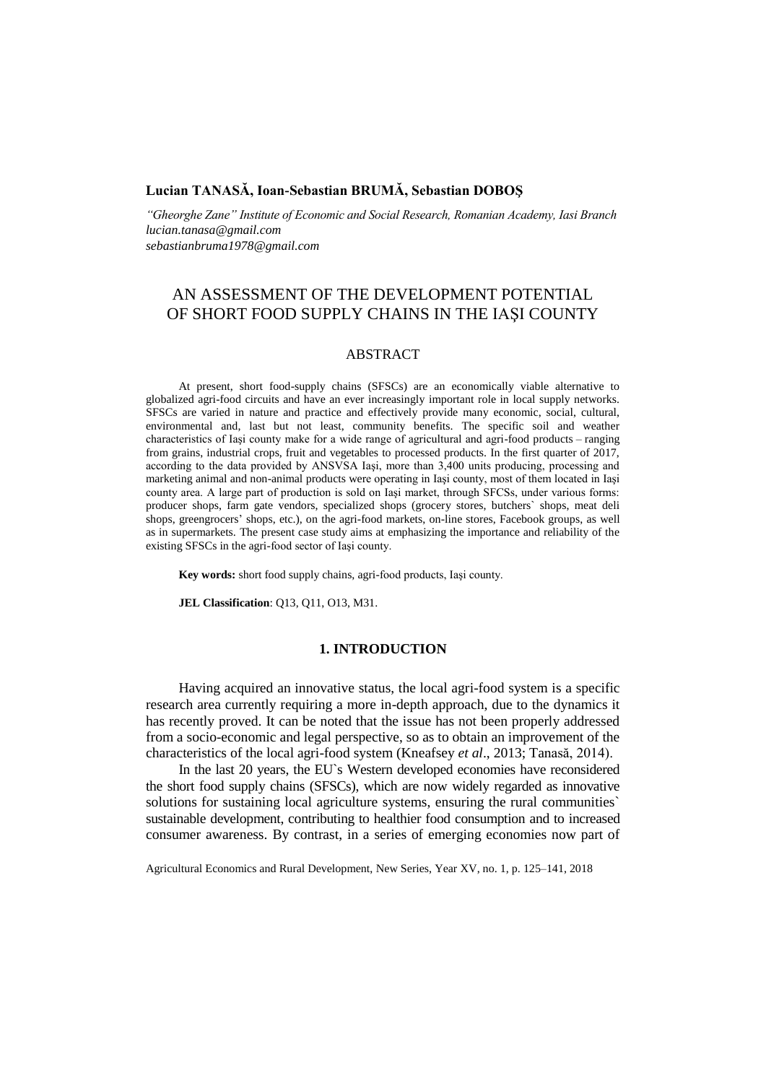# **Lucian TANASĂ, Ioan-Sebastian BRUMĂ, Sebastian DOBOŞ**

*"Gheorghe Zane" Institute of Economic and Social Research, Romanian Academy, Iasi Branch lucian.tanasa@gmail.com sebastianbruma1978@gmail.com*

# AN ASSESSMENT OF THE DEVELOPMENT POTENTIAL OF SHORT FOOD SUPPLY CHAINS IN THE IAŞI COUNTY

## ABSTRACT

At present, short food-supply chains (SFSCs) are an economically viable alternative to globalized agri-food circuits and have an ever increasingly important role in local supply networks. SFSCs are varied in nature and practice and effectively provide many economic, social, cultural, environmental and, last but not least, community benefits. The specific soil and weather characteristics of Iaşi county make for a wide range of agricultural and agri-food products – ranging from grains, industrial crops, fruit and vegetables to processed products. In the first quarter of 2017, according to the data provided by ANSVSA Iaşi, more than 3,400 units producing, processing and marketing animal and non-animal products were operating in Iaşi county, most of them located in Iaşi county area. A large part of production is sold on Iaşi market, through SFCSs, under various forms: producer shops, farm gate vendors, specialized shops (grocery stores, butchers` shops, meat deli shops, greengrocers' shops, etc.), on the agri-food markets, on-line stores, Facebook groups, as well as in supermarkets. The present case study aims at emphasizing the importance and reliability of the existing SFSCs in the agri-food sector of Iaşi county.

**Key words:** short food supply chains, agri-food products, Iaşi county.

**JEL Classification**: Q13, Q11, O13, M31.

#### **1. INTRODUCTION**

Having acquired an innovative status, the local agri-food system is a specific research area currently requiring a more in-depth approach, due to the dynamics it has recently proved. It can be noted that the issue has not been properly addressed from a socio-economic and legal perspective, so as to obtain an improvement of the characteristics of the local agri-food system (Kneafsey *et al*., 2013; Tanasă, 2014).

In the last 20 years, the EU`s Western developed economies have reconsidered the short food supply chains (SFSCs), which are now widely regarded as innovative solutions for sustaining local agriculture systems, ensuring the rural communities` sustainable development, contributing to healthier food consumption and to increased consumer awareness. By contrast, in a series of emerging economies now part of

Agricultural Economics and Rural Development, New Series, Year XV, no. 1, p. 125–141, 2018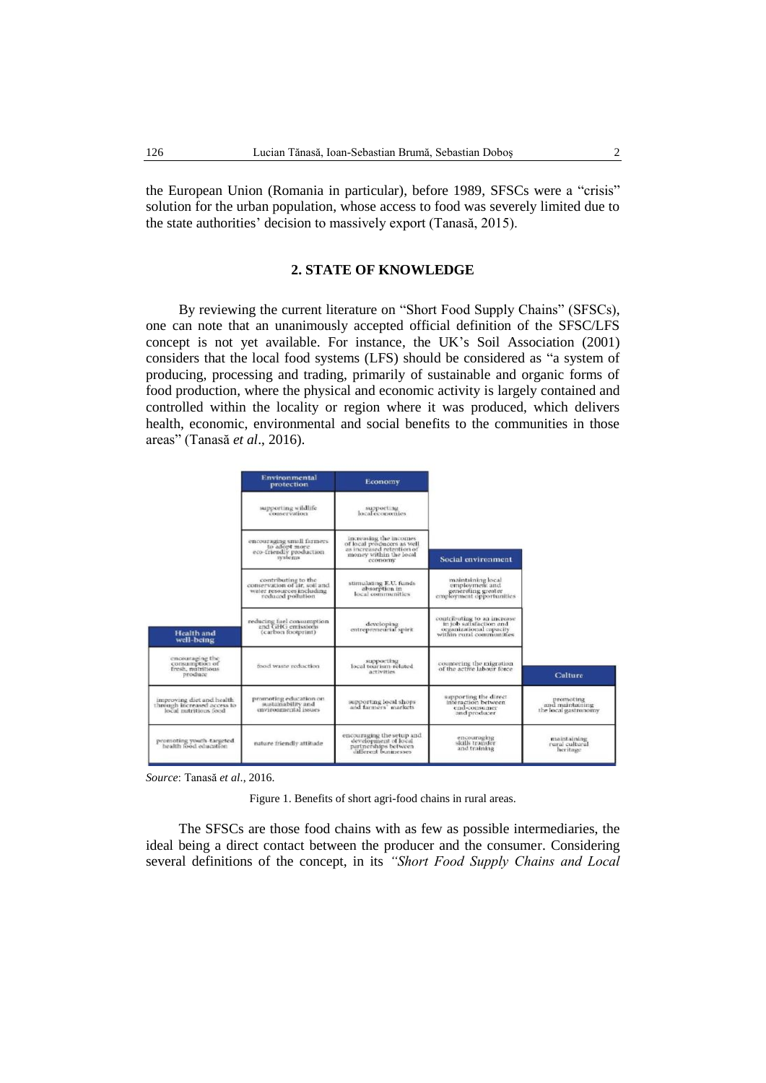the European Union (Romania in particular), before 1989, SFSCs were a "crisis" solution for the urban population, whose access to food was severely limited due to the state authorities' decision to massively export (Tanasă, 2015).

## **2. STATE OF KNOWLEDGE**

By reviewing the current literature on "Short Food Supply Chains" (SFSCs), one can note that an unanimously accepted official definition of the SFSC/LFS concept is not yet available. For instance, the UK's Soil Association (2001) considers that the local food systems (LFS) should be considered as "a system of producing, processing and trading, primarily of sustainable and organic forms of food production, where the physical and economic activity is largely contained and controlled within the locality or region where it was produced, which delivers health, economic, environmental and social benefits to the communities in those areas" (Tanasă *et al*., 2016).

|                                                                                    | Environmental<br><i>protection</i>                                                                     | Economy                                                                                                                  |                                                                                                               |                                                       |
|------------------------------------------------------------------------------------|--------------------------------------------------------------------------------------------------------|--------------------------------------------------------------------------------------------------------------------------|---------------------------------------------------------------------------------------------------------------|-------------------------------------------------------|
|                                                                                    | supporting wildlife<br>conservation                                                                    | supporting<br>local economies                                                                                            |                                                                                                               |                                                       |
|                                                                                    | encouraging small farmers.<br>to adopt more.<br>eco-friendly production<br>systems                     | increasing the incomes.<br>of local producers as well.<br>as increased retention of<br>money within the local<br>cconomy | Social environment                                                                                            |                                                       |
|                                                                                    | contributing to the<br>conservation of air, soil and<br>water resources including<br>reduced pollution | stimulating E.U. funds<br>absorption in<br>local communities                                                             | maintaining local<br>employment and<br>generating greater<br>employment opportunities                         |                                                       |
| Health and<br>well-being                                                           | reducing fuel consumption<br>and GHG emissions<br>(carbon footprint)                                   | developing<br>entrepreneurial spirit                                                                                     | contributing to an increase<br>in job satisfaction and<br>organizational capacity<br>within rural communities |                                                       |
| encouraging the<br>consumption of<br>fresh, nutritious.<br>produce                 | food waste reduction.                                                                                  | supporting<br>local tourism-related<br>activities                                                                        | countering the migration<br>of the active labour force                                                        | Culture                                               |
| improving diet and health.<br>through increased access to<br>local nutritious food | promoting education on<br>sustainability and<br>environmental issues.                                  | supporting local shops<br>and farmers' markets.                                                                          | supporting the direct<br>interaction between<br>end-consumer<br>and producer                                  | promoting<br>and maintaining<br>the local gastronomy. |
| promoting youth-targeted<br>health food education                                  | nature friendly attitude                                                                               | encouraging the setup and<br>development of local<br>partnerships between<br>cifferent businesses.                       | encouraging<br>skills transfer<br>and training                                                                | maintaining<br>rural cultural<br>heritage             |

*Source*: Tanasă *et al*., 2016.

Figure 1. Benefits of short agri-food chains in rural areas.

The SFSCs are those food chains with as few as possible intermediaries, the ideal being a direct contact between the producer and the consumer. Considering several definitions of the concept, in its *"Short Food Supply Chains and Local*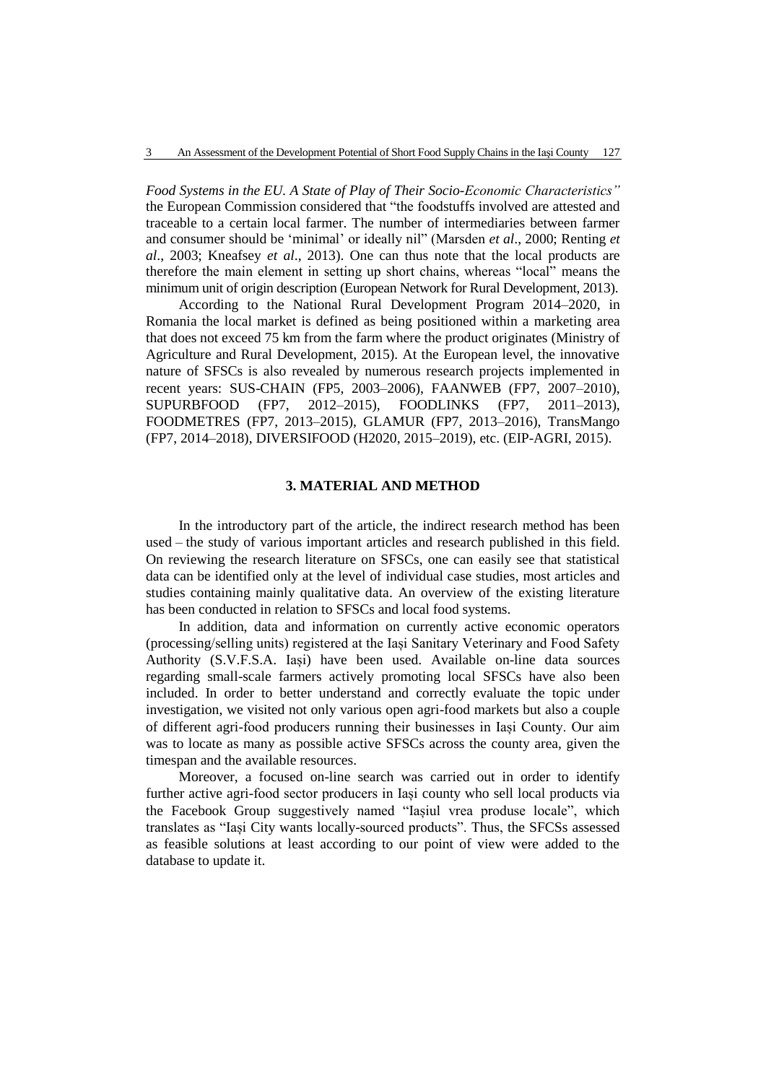*Food Systems in the EU. A State of Play of Their Socio-Economic Characteristics"*  the European Commission considered that "the foodstuffs involved are attested and traceable to a certain local farmer. The number of intermediaries between farmer and consumer should be 'minimal' or ideally nil" (Marsden *et al*., 2000; Renting *et al*., 2003; Kneafsey *et al*., 2013). One can thus note that the local products are therefore the main element in setting up short chains, whereas "local" means the minimum unit of origin description (European Network for Rural Development, 2013).

According to the National Rural Development Program 2014–2020, in Romania the local market is defined as being positioned within a marketing area that does not exceed 75 km from the farm where the product originates (Ministry of Agriculture and Rural Development, 2015). At the European level, the innovative nature of SFSCs is also revealed by numerous research projects implemented in recent years: SUS-CHAIN (FP5, 2003–2006), FAANWEB (FP7, 2007–2010), SUPURBFOOD (FP7, 2012–2015), FOODLINKS (FP7, 2011–2013), FOODMETRES (FP7, 2013–2015), GLAMUR (FP7, 2013–2016), TransMango (FP7, 2014–2018), DIVERSIFOOD (H2020, 2015–2019), etc. (EIP-AGRI, 2015).

## **3. MATERIAL AND METHOD**

In the introductory part of the article, the indirect research method has been used – the study of various important articles and research published in this field. On reviewing the research literature on SFSCs, one can easily see that statistical data can be identified only at the level of individual case studies, most articles and studies containing mainly qualitative data. An overview of the existing literature has been conducted in relation to SFSCs and local food systems.

In addition, data and information on currently active economic operators (processing/selling units) registered at the Iași Sanitary Veterinary and Food Safety Authority (S.V.F.S.A. Iași) have been used. Available on-line data sources regarding small-scale farmers actively promoting local SFSCs have also been included. In order to better understand and correctly evaluate the topic under investigation, we visited not only various open agri-food markets but also a couple of different agri-food producers running their businesses in Iași County. Our aim was to locate as many as possible active SFSCs across the county area, given the timespan and the available resources.

Moreover, a focused on-line search was carried out in order to identify further active agri-food sector producers in Iași county who sell local products via the Facebook Group suggestively named "Iașiul vrea produse locale", which translates as "Iași City wants locally-sourced products". Thus, the SFCSs assessed as feasible solutions at least according to our point of view were added to the database to update it.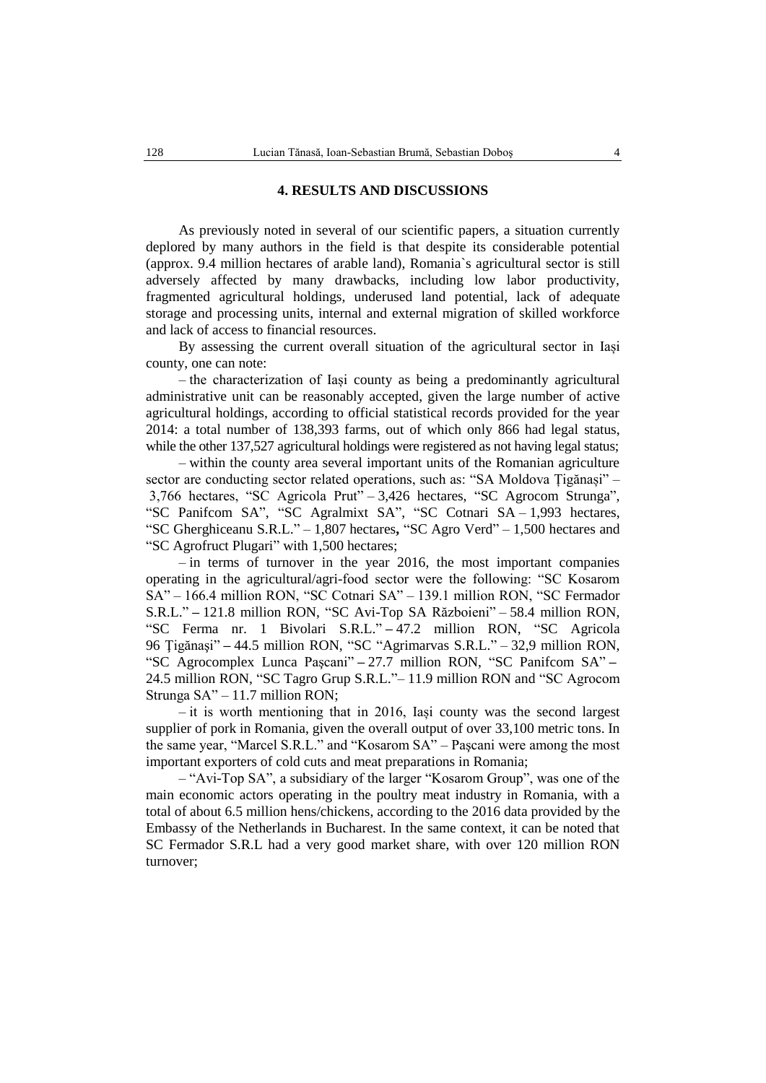## **4. RESULTS AND DISCUSSIONS**

As previously noted in several of our scientific papers, a situation currently deplored by many authors in the field is that despite its considerable potential (approx. 9.4 million hectares of arable land), Romania`s agricultural sector is still adversely affected by many drawbacks, including low labor productivity, fragmented agricultural holdings, underused land potential, lack of adequate storage and processing units, internal and external migration of skilled workforce and lack of access to financial resources.

By assessing the current overall situation of the agricultural sector in Iași county, one can note:

– the characterization of Iași county as being a predominantly agricultural administrative unit can be reasonably accepted, given the large number of active agricultural holdings, according to official statistical records provided for the year 2014: a total number of 138,393 farms, out of which only 866 had legal status, while the other 137,527 agricultural holdings were registered as not having legal status;

– within the county area several important units of the Romanian agriculture sector are conducting sector related operations, such as: "SA Moldova Țigănași" – 3,766 hectares, "SC Agricola Prut" – 3,426 hectares, "SC Agrocom Strunga", "SC Panifcom SA", "SC Agralmixt SA", "SC Cotnari SA – 1,993 hectares, "SC Gherghiceanu S.R.L." – 1,807 hectares**,** "SC Agro Verd" – 1,500 hectares and "SC Agrofruct Plugari" with 1,500 hectares;

– in terms of turnover in the year 2016, the most important companies operating in the agricultural/agri-food sector were the following: "SC Kosarom SA" – 166.4 million RON, "SC Cotnari SA" – 139.1 million RON, "SC Fermador S.R.L." **–** 121.8 million RON, "SC Avi-Top SA Războieni" – 58.4 million RON, "SC Ferma nr. 1 Bivolari S.R.L." **–** 47.2 million RON, "SC Agricola 96 Ţigănaşi" **–** 44.5 million RON, "SC "Agrimarvas S.R.L." – 32,9 million RON, "SC Agrocomplex Lunca Paşcani" **–** 27.7 million RON, "SC Panifcom SA" **–** 24.5 million RON, "SC Tagro Grup S.R.L."– 11.9 million RON and "SC Agrocom Strunga SA" – 11.7 million RON;

*–* it is worth mentioning that in 2016, Iași county was the second largest supplier of pork in Romania, given the overall output of over 33,100 metric tons. In the same year, "Marcel S.R.L." and "Kosarom SA" – Paşcani were among the most important exporters of cold cuts and meat preparations in Romania;

– "Avi-Top SA", a subsidiary of the larger "Kosarom Group", was one of the main economic actors operating in the poultry meat industry in Romania, with a total of about 6.5 million hens/chickens, according to the 2016 data provided by the Embassy of the Netherlands in Bucharest. In the same context, it can be noted that SC Fermador S.R.L had a very good market share, with over 120 million RON turnover;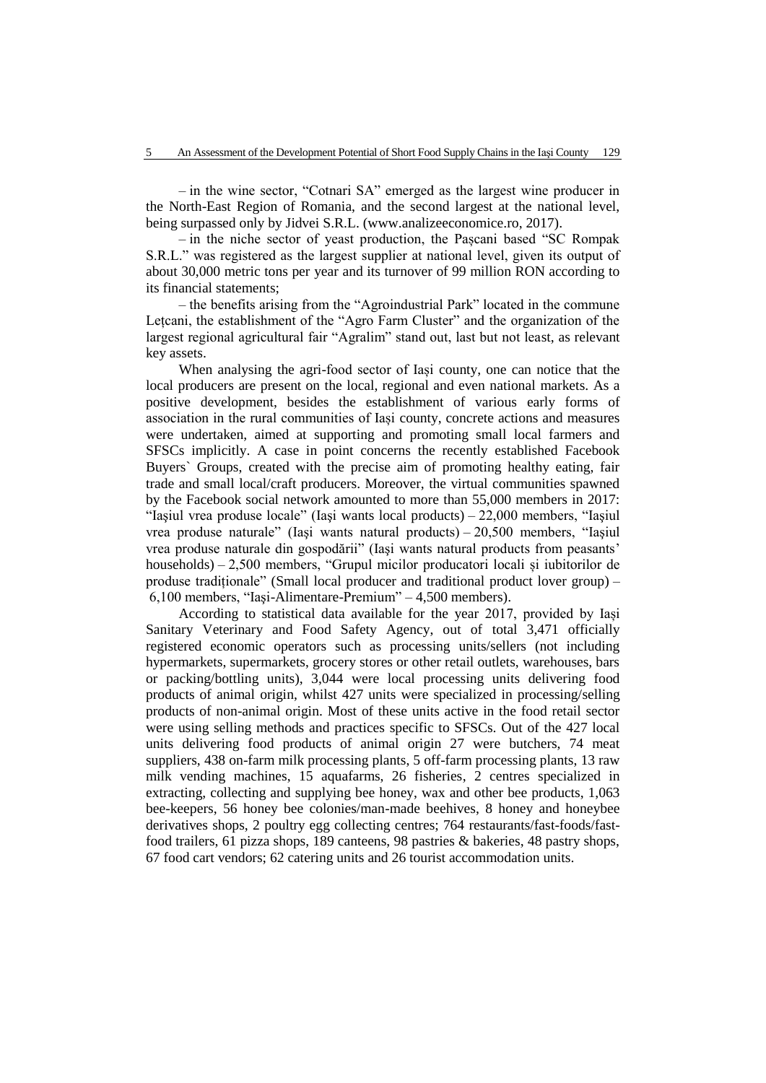– in the wine sector, "Cotnari SA" emerged as the largest wine producer in the North-East Region of Romania, and the second largest at the national level, being surpassed only by Jidvei S.R.L. (www.analizeeconomice.ro, 2017).

– in the niche sector of yeast production, the Pașcani based "SC Rompak S.R.L." was registered as the largest supplier at national level, given its output of about 30,000 metric tons per year and its turnover of 99 million RON according to its financial statements;

– the benefits arising from the "Agroindustrial Park" located in the commune Letcani, the establishment of the "Agro Farm Cluster" and the organization of the largest regional agricultural fair "Agralim" stand out, last but not least, as relevant key assets.

When analysing the agri-food sector of Iași county, one can notice that the local producers are present on the local, regional and even national markets. As a positive development, besides the establishment of various early forms of association in the rural communities of Iași county, concrete actions and measures were undertaken, aimed at supporting and promoting small local farmers and SFSCs implicitly. A case in point concerns the recently established Facebook Buyers` Groups, created with the precise aim of promoting healthy eating, fair trade and small local/craft producers. Moreover, the virtual communities spawned by the Facebook social network amounted to more than 55,000 members in 2017: "Iaşiul vrea produse locale" (Iaşi wants local products) – 22,000 members, "Iaşiul vrea produse naturale" (Iaşi wants natural products) – 20,500 members, "Iaşiul vrea produse naturale din gospodării" (Iaşi wants natural products from peasants' households) – 2,500 members, "Grupul micilor producatori locali și iubitorilor de produse tradiționale" (Small local producer and traditional product lover group) – 6,100 members, "Iaşi-Alimentare-Premium" – 4,500 members).

According to statistical data available for the year 2017, provided by Iași Sanitary Veterinary and Food Safety Agency, out of total 3,471 officially registered economic operators such as processing units/sellers (not including hypermarkets, supermarkets, grocery stores or other retail outlets, warehouses, bars or packing/bottling units), 3,044 were local processing units delivering food products of animal origin, whilst 427 units were specialized in processing/selling products of non-animal origin. Most of these units active in the food retail sector were using selling methods and practices specific to SFSCs. Out of the 427 local units delivering food products of animal origin 27 were butchers, 74 meat suppliers, 438 on-farm milk processing plants, 5 off-farm processing plants, 13 raw milk vending machines, 15 aquafarms, 26 fisheries, 2 centres specialized in extracting, collecting and supplying bee honey, wax and other bee products, 1,063 bee-keepers, 56 honey bee colonies/man-made beehives, 8 honey and honeybee derivatives shops, 2 poultry egg collecting centres; 764 restaurants/fast-foods/fastfood trailers, 61 pizza shops, 189 canteens, 98 pastries & bakeries, 48 pastry shops, 67 food cart vendors; 62 catering units and 26 tourist accommodation units.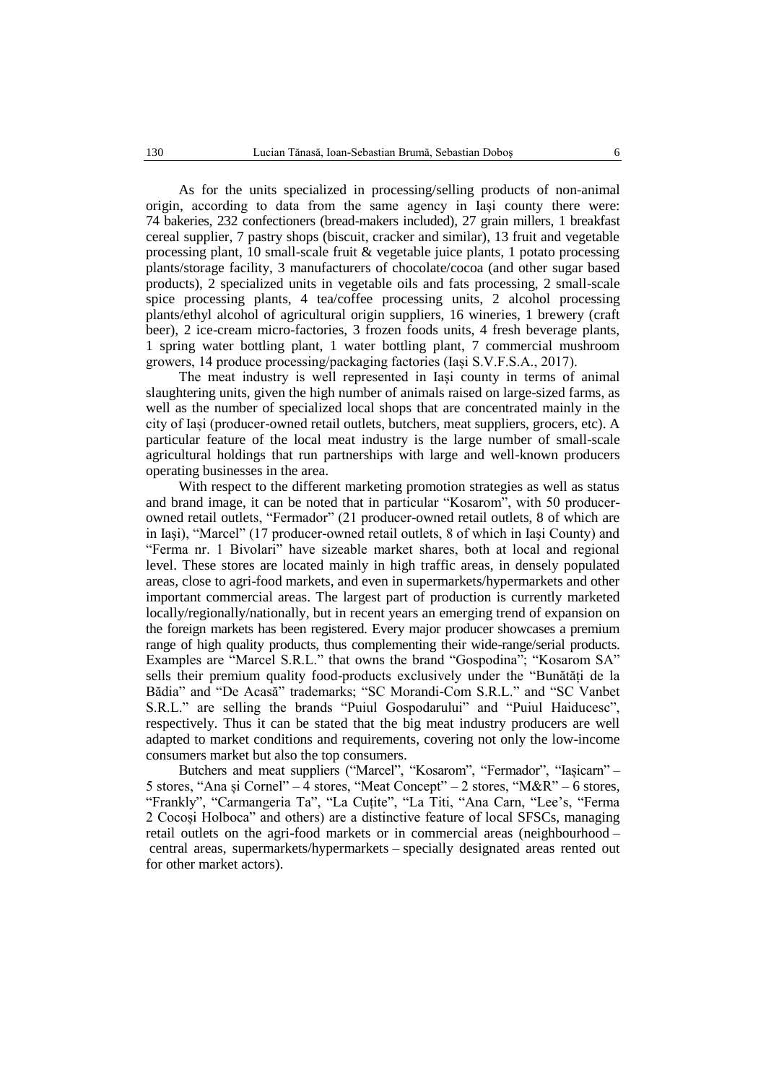As for the units specialized in processing/selling products of non-animal origin, according to data from the same agency in Iași county there were: 74 bakeries, 232 confectioners (bread-makers included), 27 grain millers, 1 breakfast cereal supplier, 7 pastry shops (biscuit, cracker and similar), 13 fruit and vegetable processing plant, 10 small-scale fruit  $\&$  vegetable juice plants, 1 potato processing plants/storage facility, 3 manufacturers of chocolate/cocoa (and other sugar based products), 2 specialized units in vegetable oils and fats processing, 2 small-scale spice processing plants, 4 tea/coffee processing units, 2 alcohol processing plants/ethyl alcohol of agricultural origin suppliers, 16 wineries, 1 brewery (craft beer), 2 ice-cream micro-factories, 3 frozen foods units, 4 fresh beverage plants, 1 spring water bottling plant, 1 water bottling plant, 7 commercial mushroom growers, 14 produce processing/packaging factories (Iași S.V.F.S.A., 2017).

The meat industry is well represented in Iași county in terms of animal slaughtering units, given the high number of animals raised on large-sized farms, as well as the number of specialized local shops that are concentrated mainly in the city of Iași (producer-owned retail outlets, butchers, meat suppliers, grocers, etc). A particular feature of the local meat industry is the large number of small-scale agricultural holdings that run partnerships with large and well-known producers operating businesses in the area.

With respect to the different marketing promotion strategies as well as status and brand image, it can be noted that in particular "Kosarom", with 50 producerowned retail outlets, "Fermador" (21 producer-owned retail outlets, 8 of which are in Iaşi), "Marcel" (17 producer-owned retail outlets, 8 of which in Iaşi County) and "Ferma nr. 1 Bivolari" have sizeable market shares, both at local and regional level. These stores are located mainly in high traffic areas, in densely populated areas, close to agri-food markets, and even in supermarkets/hypermarkets and other important commercial areas. The largest part of production is currently marketed locally/regionally/nationally, but in recent years an emerging trend of expansion on the foreign markets has been registered. Every major producer showcases a premium range of high quality products, thus complementing their wide-range/serial products. Examples are "Marcel S.R.L." that owns the brand "Gospodina"; "Kosarom SA" sells their premium quality food-products exclusively under the "Bunătăți de la Bădia" and "De Acasă" trademarks; "SC Morandi-Com S.R.L." and "SC Vanbet S.R.L." are selling the brands "Puiul Gospodarului" and "Puiul Haiducesc", respectively. Thus it can be stated that the big meat industry producers are well adapted to market conditions and requirements, covering not only the low-income consumers market but also the top consumers.

Butchers and meat suppliers ("Marcel", "Kosarom", "Fermador", "Iașicarn" – 5 stores, "Ana și Cornel" – 4 stores, "Meat Concept" – 2 stores, "M&R" – 6 stores, "Frankly", "Carmangeria Ta", "La Cuțite", "La Titi, "Ana Carn, "Lee's, "Ferma 2 Cocoși Holboca" and others) are a distinctive feature of local SFSCs, managing retail outlets on the agri-food markets or in commercial areas (neighbourhood – central areas, supermarkets/hypermarkets – specially designated areas rented out for other market actors).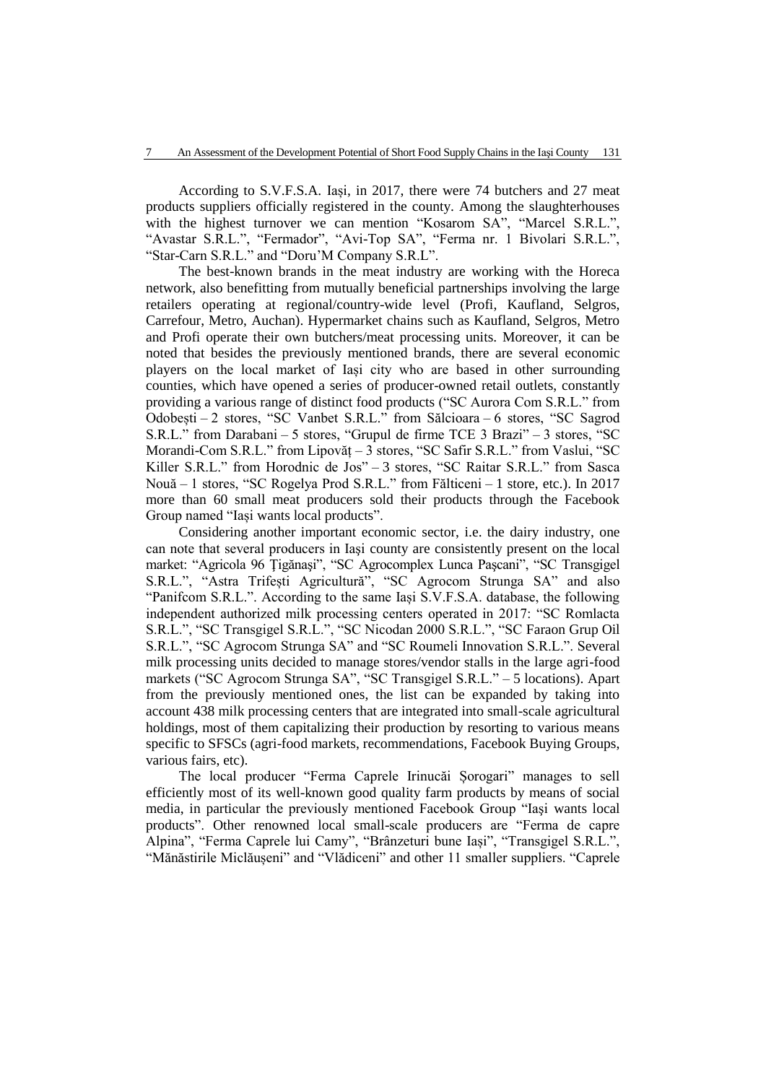According to S.V.F.S.A. Iași, in 2017, there were 74 butchers and 27 meat products suppliers officially registered in the county. Among the slaughterhouses with the highest turnover we can mention "Kosarom SA", "Marcel S.R.L.", "Avastar S.R.L.", "Fermador", "Avi-Top SA", "Ferma nr. 1 Bivolari S.R.L.", "Star-Carn S.R.L." and "Doru'M Company S.R.L".

The best-known brands in the meat industry are working with the Horeca network, also benefitting from mutually beneficial partnerships involving the large retailers operating at regional/country-wide level (Profi, Kaufland, Selgros, Carrefour, Metro, Auchan). Hypermarket chains such as Kaufland, Selgros, Metro and Profi operate their own butchers/meat processing units. Moreover, it can be noted that besides the previously mentioned brands, there are several economic players on the local market of Iași city who are based in other surrounding counties, which have opened a series of producer-owned retail outlets, constantly providing a various range of distinct food products ("SC Aurora Com S.R.L." from Odobești – 2 stores, "SC Vanbet S.R.L." from Sălcioara – 6 stores, "SC Sagrod S.R.L." from Darabani – 5 stores, "Grupul de firme TCE 3 Brazi" – 3 stores, "SC Morandi-Com S.R.L." from Lipovăț – 3 stores, "SC Safir S.R.L." from Vaslui, "SC Killer S.R.L." from Horodnic de Jos" - 3 stores, "SC Raitar S.R.L." from Sasca Nouă – 1 stores, "SC Rogelya Prod S.R.L." from Fălticeni – 1 store, etc.). In 2017 more than 60 small meat producers sold their products through the Facebook Group named "Iași wants local products".

Considering another important economic sector, i.e. the dairy industry, one can note that several producers in Iaşi county are consistently present on the local market: "Agricola 96 Ţigănaşi", "SC Agrocomplex Lunca Paşcani", "SC Transgigel S.R.L.", "Astra Trifești Agricultură", "SC Agrocom Strunga SA" and also "Panifcom S.R.L.". According to the same Iași S.V.F.S.A. database, the following independent authorized milk processing centers operated in 2017: "SC Romlacta S.R.L.", "SC Transgigel S.R.L.", "SC Nicodan 2000 S.R.L.", "SC Faraon Grup Oil S.R.L.", "SC Agrocom Strunga SA" and "SC Roumeli Innovation S.R.L.". Several milk processing units decided to manage stores/vendor stalls in the large agri-food markets ("SC Agrocom Strunga SA", "SC Transgigel S.R.L." – 5 locations). Apart from the previously mentioned ones, the list can be expanded by taking into account 438 milk processing centers that are integrated into small-scale agricultural holdings, most of them capitalizing their production by resorting to various means specific to SFSCs (agri-food markets, recommendations, Facebook Buying Groups, various fairs, etc).

The local producer "Ferma Caprele Irinucăi Șorogari" manages to sell efficiently most of its well-known good quality farm products by means of social media, in particular the previously mentioned Facebook Group "Iaşi wants local products". Other renowned local small-scale producers are "Ferma de capre Alpina", "Ferma Caprele lui Camy", "Brânzeturi bune Iași", "Transgigel S.R.L.", "Mănăstirile Miclăușeni" and "Vlădiceni" and other 11 smaller suppliers. "Caprele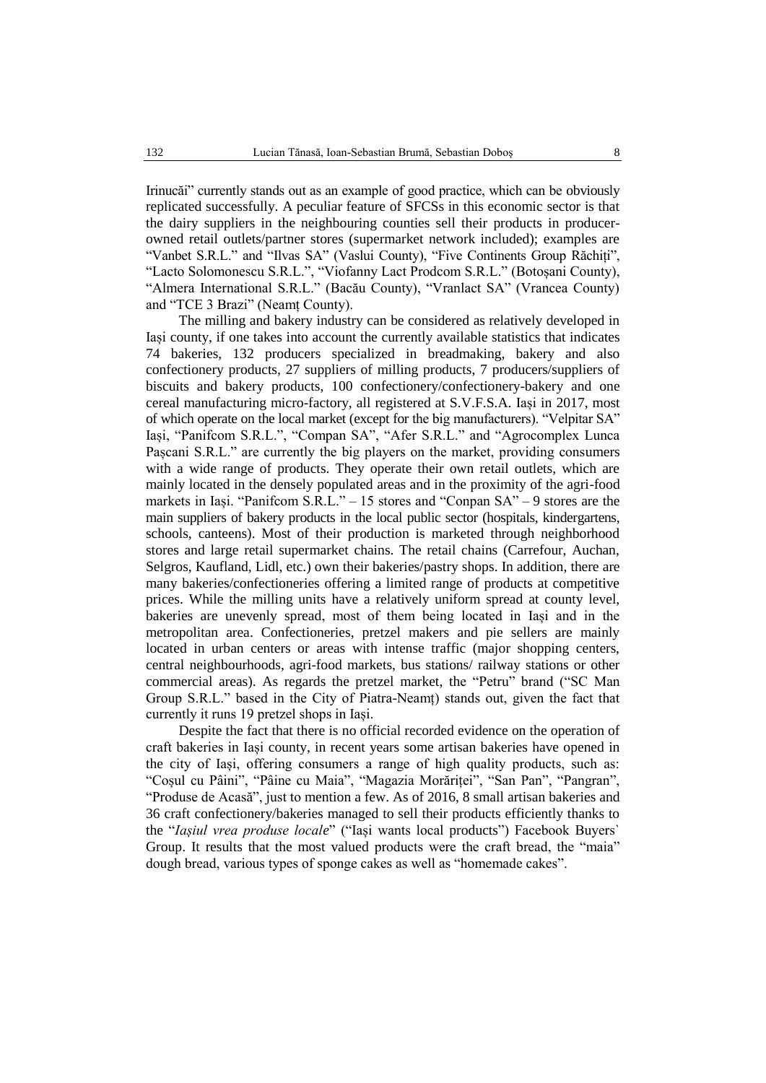Irinucăi" currently stands out as an example of good practice, which can be obviously replicated successfully. A peculiar feature of SFCSs in this economic sector is that the dairy suppliers in the neighbouring counties sell their products in producerowned retail outlets/partner stores (supermarket network included); examples are "Vanbet S.R.L." and "Ilvas SA" (Vaslui County), "Five Continents Group Răchiți", "Lacto Solomonescu S.R.L.", "Viofanny Lact Prodcom S.R.L." (Botoșani County), "Almera International S.R.L." (Bacău County), "Vranlact SA" (Vrancea County) and "TCE 3 Brazi" (Neamț County).

The milling and bakery industry can be considered as relatively developed in Iași county, if one takes into account the currently available statistics that indicates 74 bakeries, 132 producers specialized in breadmaking, bakery and also confectionery products, 27 suppliers of milling products, 7 producers/suppliers of biscuits and bakery products, 100 confectionery/confectionery-bakery and one cereal manufacturing micro-factory, all registered at S.V.F.S.A. Iași in 2017, most of which operate on the local market (except for the big manufacturers). "Velpitar SA" Iași, "Panifcom S.R.L.", "Compan SA", "Afer S.R.L." and "Agrocomplex Lunca Pașcani S.R.L." are currently the big players on the market, providing consumers with a wide range of products. They operate their own retail outlets, which are mainly located in the densely populated areas and in the proximity of the agri-food markets in Iași. "Panifcom S.R.L." – 15 stores and "Conpan SA" – 9 stores are the main suppliers of bakery products in the local public sector (hospitals, kindergartens, schools, canteens). Most of their production is marketed through neighborhood stores and large retail supermarket chains. The retail chains (Carrefour, Auchan, Selgros, Kaufland, Lidl, etc.) own their bakeries/pastry shops. In addition, there are many bakeries/confectioneries offering a limited range of products at competitive prices. While the milling units have a relatively uniform spread at county level, bakeries are unevenly spread, most of them being located in Iași and in the metropolitan area. Confectioneries, pretzel makers and pie sellers are mainly located in urban centers or areas with intense traffic (major shopping centers, central neighbourhoods, agri-food markets, bus stations/ railway stations or other commercial areas). As regards the pretzel market, the "Petru" brand ("SC Man Group S.R.L." based in the City of Piatra-Neamț) stands out, given the fact that currently it runs 19 pretzel shops in Iași.

Despite the fact that there is no official recorded evidence on the operation of craft bakeries in Iași county, in recent years some artisan bakeries have opened in the city of Iași, offering consumers a range of high quality products, such as: "Coșul cu Pâini", "Pâine cu Maia", "Magazia Morăriței", "San Pan", "Pangran", "Produse de Acasă", just to mention a few. As of 2016, 8 small artisan bakeries and 36 craft confectionery/bakeries managed to sell their products efficiently thanks to the "*Iașiul vrea produse locale*" ("Iași wants local products") Facebook Buyers` Group. It results that the most valued products were the craft bread, the "maia" dough bread, various types of sponge cakes as well as "homemade cakes".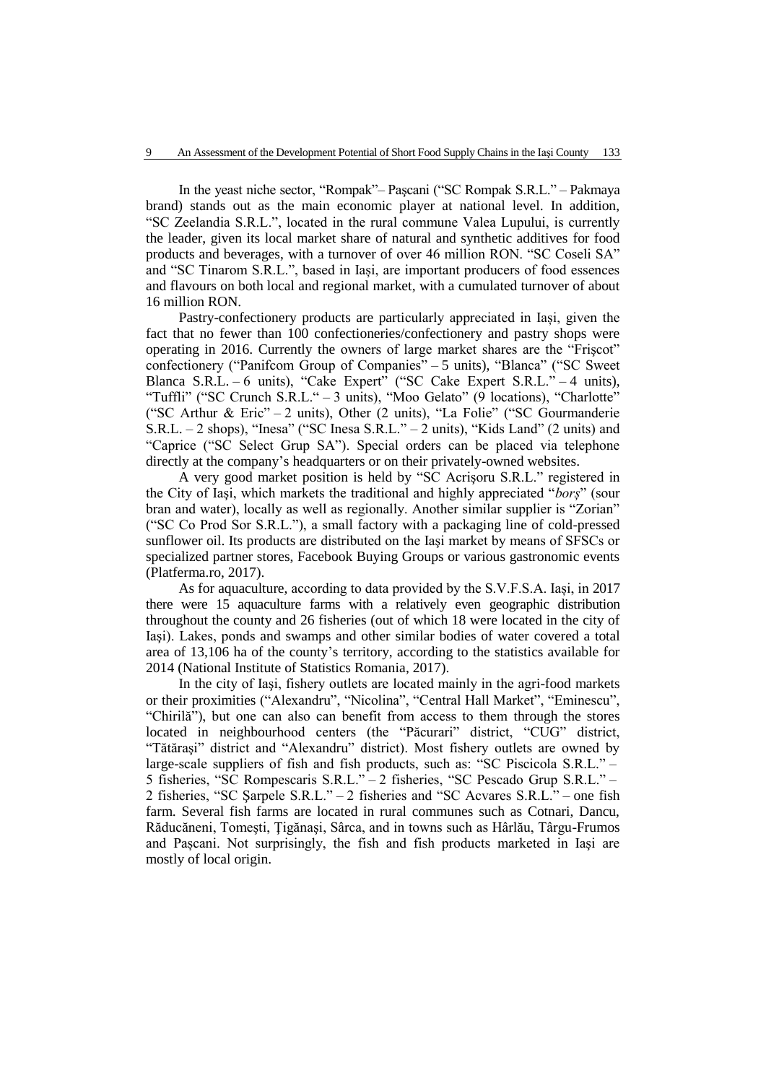In the yeast niche sector, "Rompak"– Paşcani ("SC Rompak S.R.L." – Pakmaya brand) stands out as the main economic player at national level. In addition, "SC Zeelandia S.R.L.", located in the rural commune Valea Lupului, is currently the leader, given its local market share of natural and synthetic additives for food products and beverages, with a turnover of over 46 million RON. "SC Coseli SA" and "SC Tinarom S.R.L.", based in Iași, are important producers of food essences and flavours on both local and regional market, with a cumulated turnover of about 16 million RON.

Pastry-confectionery products are particularly appreciated in Iași, given the fact that no fewer than 100 confectioneries/confectionery and pastry shops were operating in 2016. Currently the owners of large market shares are the "Frişcot" confectionery ("Panifcom Group of Companies" – 5 units), "Blanca" ("SC Sweet Blanca S.R.L. – 6 units), "Cake Expert" ("SC Cake Expert S.R.L." – 4 units), "Tuffli" ("SC Crunch S.R.L." – 3 units), "Moo Gelato" (9 locations), "Charlotte" ("SC Arthur & Eric" – 2 units), Other (2 units), "La Folie" ("SC Gourmanderie S.R.L. – 2 shops), "Inesa" ("SC Inesa S.R.L." – 2 units), "Kids Land" (2 units) and "Caprice ("SC Select Grup SA"). Special orders can be placed via telephone directly at the company's headquarters or on their privately-owned websites.

A very good market position is held by "SC Acrişoru S.R.L." registered in the City of Iaşi, which markets the traditional and highly appreciated "*borș*" (sour bran and water), locally as well as regionally. Another similar supplier is "Zorian" ("SC Co Prod Sor S.R.L."), a small factory with a packaging line of cold-pressed sunflower oil. Its products are distributed on the Iaşi market by means of SFSCs or specialized partner stores, Facebook Buying Groups or various gastronomic events (Platferma.ro, 2017).

As for aquaculture, according to data provided by the S.V.F.S.A. Iași, in 2017 there were 15 aquaculture farms with a relatively even geographic distribution throughout the county and 26 fisheries (out of which 18 were located in the city of Iaşi). Lakes, ponds and swamps and other similar bodies of water covered a total area of 13,106 ha of the county's territory, according to the statistics available for 2014 (National Institute of Statistics Romania, 2017).

In the city of Iaşi, fishery outlets are located mainly in the agri-food markets or their proximities ("Alexandru", "Nicolina", "Central Hall Market", "Eminescu", "Chirilă"), but one can also can benefit from access to them through the stores located in neighbourhood centers (the "Păcurari" district, "CUG" district, "Tătăraşi" district and "Alexandru" district). Most fishery outlets are owned by large-scale suppliers of fish and fish products, such as: "SC Piscicola S.R.L." – 5 fisheries, "SC Rompescaris S.R.L." – 2 fisheries, "SC Pescado Grup S.R.L." – 2 fisheries, "SC Şarpele S.R.L." – 2 fisheries and "SC Acvares S.R.L." – one fish farm. Several fish farms are located in rural communes such as Cotnari, Dancu, Răducăneni, Tomeşti, Ţigănaşi, Sârca, and in towns such as Hârlău, Târgu-Frumos and Pașcani. Not surprisingly, the fish and fish products marketed in Iaşi are mostly of local origin.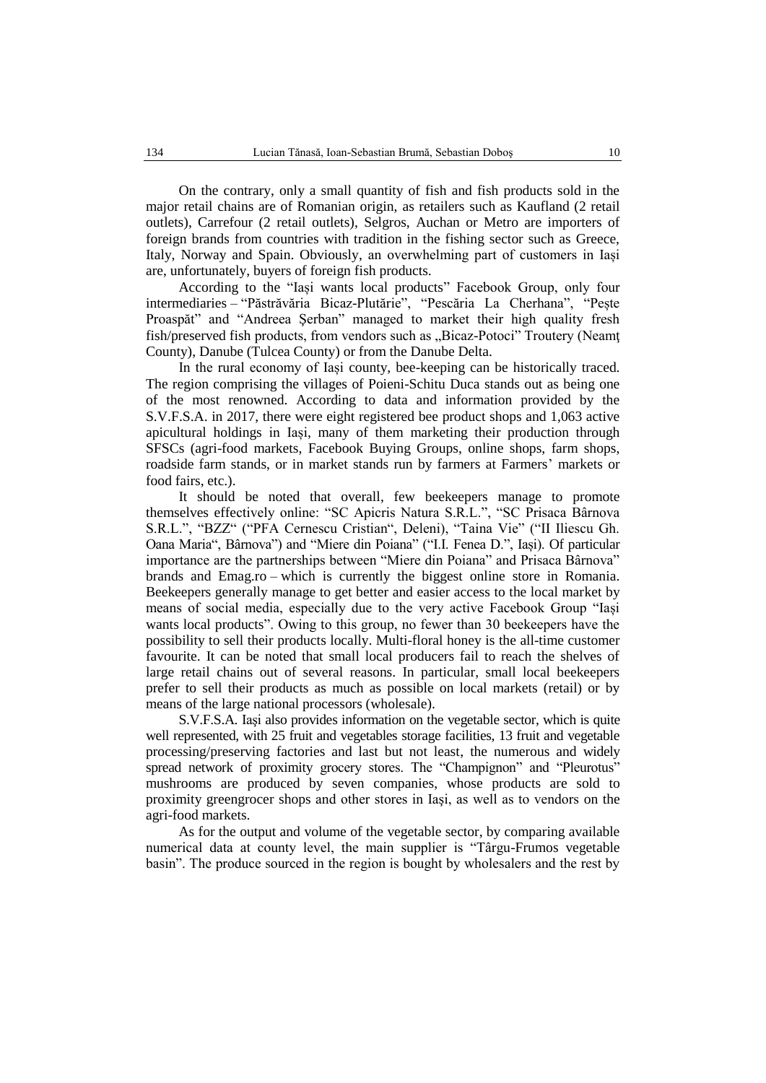On the contrary, only a small quantity of fish and fish products sold in the major retail chains are of Romanian origin, as retailers such as Kaufland (2 retail outlets), Carrefour (2 retail outlets), Selgros, Auchan or Metro are importers of foreign brands from countries with tradition in the fishing sector such as Greece, Italy, Norway and Spain. Obviously, an overwhelming part of customers in Iași are, unfortunately, buyers of foreign fish products.

According to the "Iași wants local products" Facebook Group, only four intermediaries – "Păstrăvăria Bicaz-Plutărie", "Pescăria La Cherhana", "Pește Proaspăt" and "Andreea Şerban" managed to market their high quality fresh fish/preserved fish products, from vendors such as "Bicaz-Potoci" Troutery (Neamt County), Danube (Tulcea County) or from the Danube Delta.

In the rural economy of Iași county, bee-keeping can be historically traced. The region comprising the villages of Poieni-Schitu Duca stands out as being one of the most renowned. According to data and information provided by the S.V.F.S.A. in 2017, there were eight registered bee product shops and 1,063 active apicultural holdings in Iași, many of them marketing their production through SFSCs (agri-food markets, Facebook Buying Groups, online shops, farm shops, roadside farm stands, or in market stands run by farmers at Farmers' markets or food fairs, etc.).

It should be noted that overall, few beekeepers manage to promote themselves effectively online: "SC Apicris Natura S.R.L.", "SC Prisaca Bârnova S.R.L.", "BZZ" ("PFA Cernescu Cristian", Deleni), "Taina Vie" ("II Iliescu Gh. Oana Maria", Bârnova") and "Miere din Poiana" ("I.I. Fenea D.", Iași). Of particular importance are the partnerships between "Miere din Poiana" and Prisaca Bârnova" brands and Emag.ro – which is currently the biggest online store in Romania. Beekeepers generally manage to get better and easier access to the local market by means of social media, especially due to the very active Facebook Group "Iași wants local products". Owing to this group, no fewer than 30 beekeepers have the possibility to sell their products locally. Multi-floral honey is the all-time customer favourite. It can be noted that small local producers fail to reach the shelves of large retail chains out of several reasons. In particular, small local beekeepers prefer to sell their products as much as possible on local markets (retail) or by means of the large national processors (wholesale).

S.V.F.S.A. Iaşi also provides information on the vegetable sector, which is quite well represented, with 25 fruit and vegetables storage facilities, 13 fruit and vegetable processing/preserving factories and last but not least, the numerous and widely spread network of proximity grocery stores. The "Champignon" and "Pleurotus" mushrooms are produced by seven companies, whose products are sold to proximity greengrocer shops and other stores in Iaşi, as well as to vendors on the agri-food markets.

As for the output and volume of the vegetable sector, by comparing available numerical data at county level, the main supplier is "Târgu-Frumos vegetable basin". The produce sourced in the region is bought by wholesalers and the rest by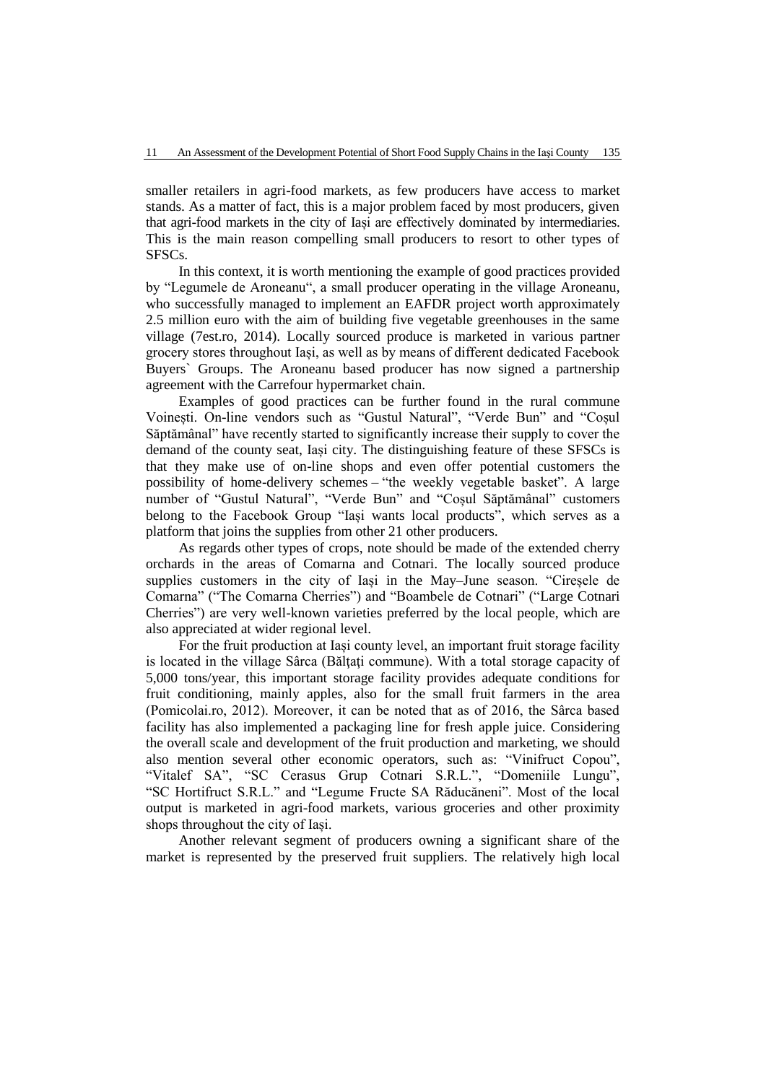smaller retailers in agri-food markets, as few producers have access to market stands. As a matter of fact, this is a major problem faced by most producers, given that agri-food markets in the city of Iași are effectively dominated by intermediaries. This is the main reason compelling small producers to resort to other types of SFSCs.

In this context, it is worth mentioning the example of good practices provided by "Legumele de Aroneanu", a small producer operating in the village Aroneanu, who successfully managed to implement an EAFDR project worth approximately 2.5 million euro with the aim of building five vegetable greenhouses in the same village (7est.ro, 2014). Locally sourced produce is marketed in various partner grocery stores throughout Iași, as well as by means of different dedicated Facebook Buyers` Groups. The Aroneanu based producer has now signed a partnership agreement with the Carrefour hypermarket chain.

Examples of good practices can be further found in the rural commune Voinești. On-line vendors such as "Gustul Natural", "Verde Bun" and "Coșul Săptămânal" have recently started to significantly increase their supply to cover the demand of the county seat, Iași city. The distinguishing feature of these SFSCs is that they make use of on-line shops and even offer potential customers the possibility of home-delivery schemes – "the weekly vegetable basket". A large number of "Gustul Natural", "Verde Bun" and "Coșul Săptămânal" customers belong to the Facebook Group "Iași wants local products", which serves as a platform that joins the supplies from other 21 other producers.

As regards other types of crops, note should be made of the extended cherry orchards in the areas of Comarna and Cotnari. The locally sourced produce supplies customers in the city of Iași in the May–June season. "Cireșele de Comarna" ("The Comarna Cherries") and "Boambele de Cotnari" ("Large Cotnari Cherries") are very well-known varieties preferred by the local people, which are also appreciated at wider regional level.

For the fruit production at Iași county level, an important fruit storage facility is located in the village Sârca (Bălţaţi commune). With a total storage capacity of 5,000 tons/year, this important storage facility provides adequate conditions for fruit conditioning, mainly apples, also for the small fruit farmers in the area (Pomicolai.ro, 2012). Moreover, it can be noted that as of 2016, the Sârca based facility has also implemented a packaging line for fresh apple juice. Considering the overall scale and development of the fruit production and marketing, we should also mention several other economic operators, such as: "Vinifruct Copou", "Vitalef SA", "SC Cerasus Grup Cotnari S.R.L.", "Domeniile Lungu", "SC Hortifruct S.R.L." and "Legume Fructe SA Răducăneni". Most of the local output is marketed in agri-food markets, various groceries and other proximity shops throughout the city of Iași.

Another relevant segment of producers owning a significant share of the market is represented by the preserved fruit suppliers. The relatively high local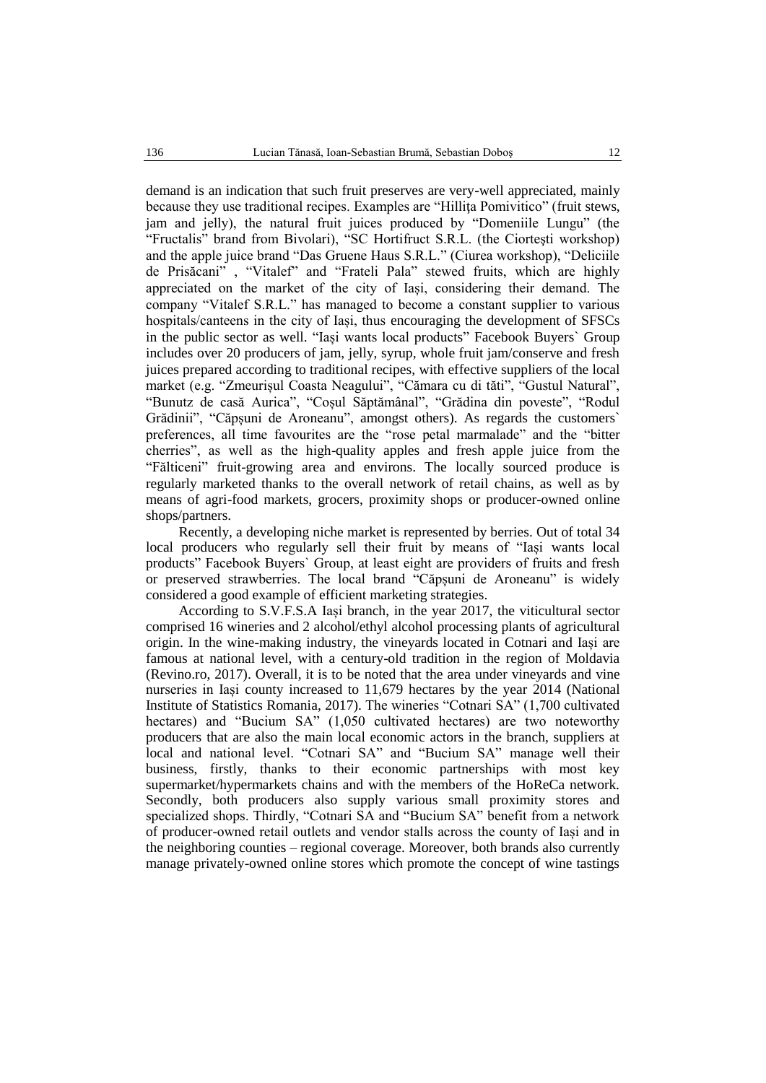demand is an indication that such fruit preserves are very-well appreciated, mainly because they use traditional recipes. Examples are "Hillita Pomivitico" (fruit stews, jam and jelly), the natural fruit juices produced by "Domeniile Lungu" (the "Fructalis" brand from Bivolari), "SC Hortifruct S.R.L. (the Ciorteşti workshop) and the apple juice brand "Das Gruene Haus S.R.L." (Ciurea workshop), "Deliciile de Prisăcani" , "Vitalef" and "Frateli Pala" stewed fruits, which are highly appreciated on the market of the city of Iași, considering their demand. The company "Vitalef S.R.L." has managed to become a constant supplier to various hospitals/canteens in the city of Iași, thus encouraging the development of SFSCs in the public sector as well. "Iași wants local products" Facebook Buyers` Group includes over 20 producers of jam, jelly, syrup, whole fruit jam/conserve and fresh juices prepared according to traditional recipes, with effective suppliers of the local market (e.g. "Zmeurișul Coasta Neagului", "Cămara cu di tăti", "Gustul Natural", "Bunutz de casă Aurica", "Coșul Săptămânal", "Grădina din poveste", "Rodul Grădinii", "Căpșuni de Aroneanu", amongst others). As regards the customers` preferences, all time favourites are the "rose petal marmalade" and the "bitter cherries", as well as the high-quality apples and fresh apple juice from the "Fălticeni" fruit-growing area and environs. The locally sourced produce is regularly marketed thanks to the overall network of retail chains, as well as by means of agri-food markets, grocers, proximity shops or producer-owned online shops/partners.

Recently, a developing niche market is represented by berries. Out of total 34 local producers who regularly sell their fruit by means of "Iași wants local products" Facebook Buyers` Group, at least eight are providers of fruits and fresh or preserved strawberries. The local brand "Căpșuni de Aroneanu" is widely considered a good example of efficient marketing strategies.

According to S.V.F.S.A Iași branch, in the year 2017, the viticultural sector comprised 16 wineries and 2 alcohol/ethyl alcohol processing plants of agricultural origin. In the wine-making industry, the vineyards located in Cotnari and Iași are famous at national level, with a century-old tradition in the region of Moldavia (Revino.ro, 2017). Overall, it is to be noted that the area under vineyards and vine nurseries in Iași county increased to 11,679 hectares by the year 2014 (National Institute of Statistics Romania, 2017). The wineries "Cotnari SA" (1,700 cultivated hectares) and "Bucium SA" (1,050 cultivated hectares) are two noteworthy producers that are also the main local economic actors in the branch, suppliers at local and national level. "Cotnari SA" and "Bucium SA" manage well their business, firstly, thanks to their economic partnerships with most key supermarket/hypermarkets chains and with the members of the HoReCa network. Secondly, both producers also supply various small proximity stores and specialized shops. Thirdly, "Cotnari SA and "Bucium SA" benefit from a network of producer-owned retail outlets and vendor stalls across the county of Iași and in the neighboring counties – regional coverage. Moreover, both brands also currently manage privately-owned online stores which promote the concept of wine tastings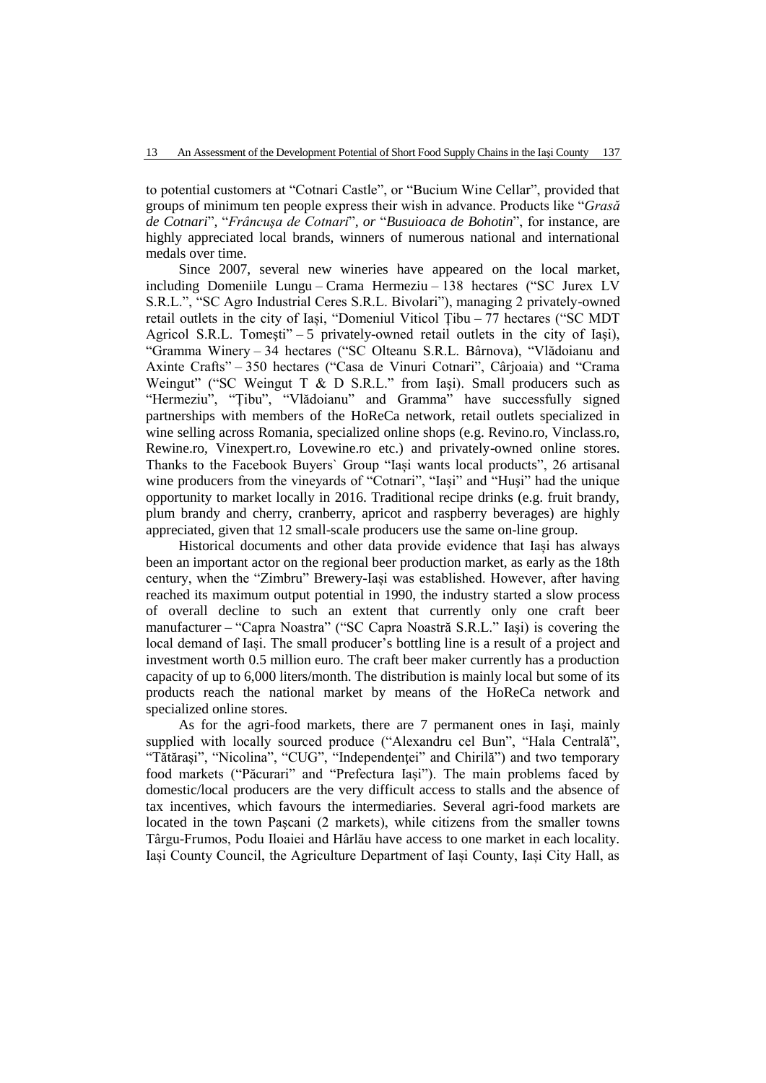to potential customers at "Cotnari Castle", or "Bucium Wine Cellar", provided that groups of minimum ten people express their wish in advance. Products like "*Grasă de Cotnari*"*,* "*Frâncuşa de Cotnari*"*, or* "*Busuioaca de Bohotin*", for instance, are highly appreciated local brands, winners of numerous national and international medals over time.

Since 2007, several new wineries have appeared on the local market, including Domeniile Lungu – Crama Hermeziu – 138 hectares ("SC Jurex LV S.R.L.", "SC Agro Industrial Ceres S.R.L. Bivolari"), managing 2 privately-owned retail outlets in the city of Iași, "Domeniul Viticol Țibu – 77 hectares ("SC MDT Agricol S.R.L. Tomeşti" – 5 privately-owned retail outlets in the city of Iaşi), "Gramma Winery – 34 hectares ("SC Olteanu S.R.L. Bârnova), "Vlădoianu and Axinte Crafts" – 350 hectares ("Casa de Vinuri Cotnari", Cârjoaia) and "Crama Weingut" ("SC Weingut T & D S.R.L." from Iași). Small producers such as "Hermeziu", "Țibu", "Vlădoianu" and Gramma" have successfully signed partnerships with members of the HoReCa network, retail outlets specialized in wine selling across Romania, specialized online shops (e.g. Revino.ro, Vinclass.ro, Rewine.ro, Vinexpert.ro, Lovewine.ro etc.) and privately-owned online stores. Thanks to the Facebook Buyers` Group "Iași wants local products", 26 artisanal wine producers from the vineyards of "Cotnari", "Iași" and "Huşi" had the unique opportunity to market locally in 2016. Traditional recipe drinks (e.g. fruit brandy, plum brandy and cherry, cranberry, apricot and raspberry beverages) are highly appreciated, given that 12 small-scale producers use the same on-line group.

Historical documents and other data provide evidence that Iași has always been an important actor on the regional beer production market, as early as the 18th century, when the "Zimbru" Brewery-Iași was established. However, after having reached its maximum output potential in 1990, the industry started a slow process of overall decline to such an extent that currently only one craft beer manufacturer – "Capra Noastra" ("SC Capra Noastră S.R.L." Iaşi) is covering the local demand of Iași. The small producer's bottling line is a result of a project and investment worth 0.5 million euro. The craft beer maker currently has a production capacity of up to 6,000 liters/month. The distribution is mainly local but some of its products reach the national market by means of the HoReCa network and specialized online stores.

As for the agri-food markets, there are 7 permanent ones in Iaşi, mainly supplied with locally sourced produce ("Alexandru cel Bun", "Hala Centrală", "Tătăraşi", "Nicolina", "CUG", "Independenţei" and Chirilă") and two temporary food markets ("Păcurari" and "Prefectura Iași"). The main problems faced by domestic/local producers are the very difficult access to stalls and the absence of tax incentives, which favours the intermediaries. Several agri-food markets are located in the town Paşcani (2 markets), while citizens from the smaller towns Târgu-Frumos, Podu Iloaiei and Hârlău have access to one market in each locality. Iași County Council, the Agriculture Department of Iași County, Iași City Hall, as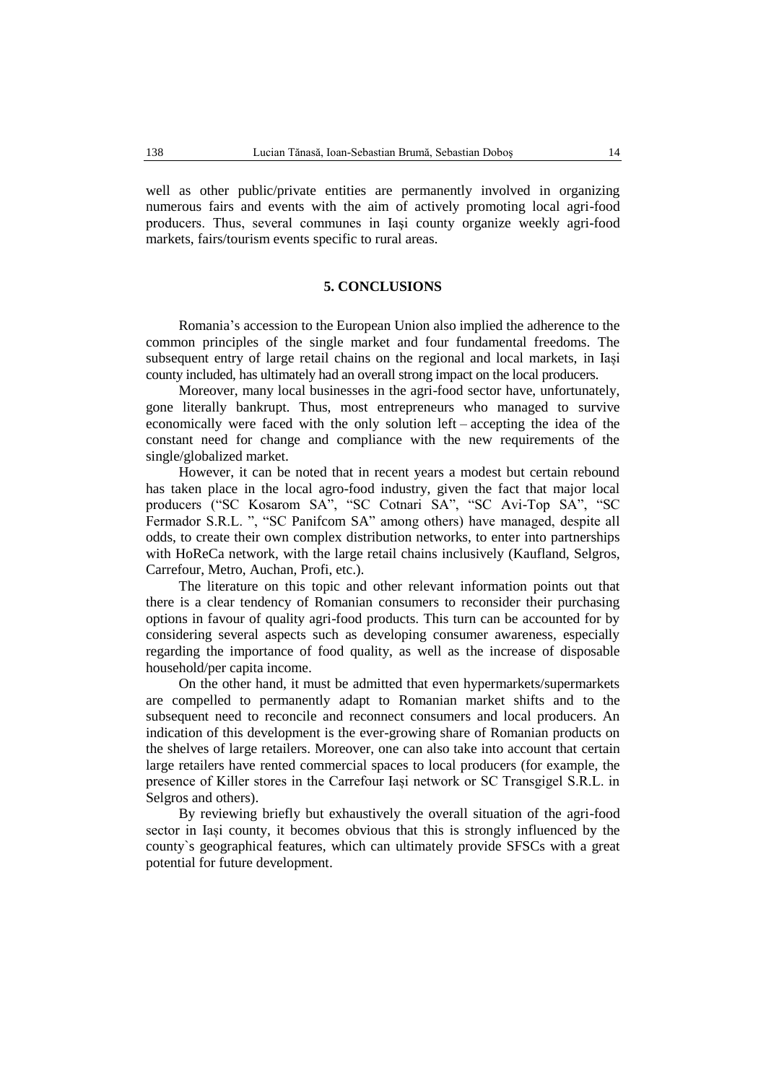well as other public/private entities are permanently involved in organizing numerous fairs and events with the aim of actively promoting local agri-food producers. Thus, several communes in Iaşi county organize weekly agri-food markets, fairs/tourism events specific to rural areas.

## **5. CONCLUSIONS**

Romania's accession to the European Union also implied the adherence to the common principles of the single market and four fundamental freedoms. The subsequent entry of large retail chains on the regional and local markets, in Iași county included, has ultimately had an overall strong impact on the local producers.

Moreover, many local businesses in the agri-food sector have, unfortunately, gone literally bankrupt. Thus, most entrepreneurs who managed to survive economically were faced with the only solution left – accepting the idea of the constant need for change and compliance with the new requirements of the single/globalized market.

However, it can be noted that in recent years a modest but certain rebound has taken place in the local agro-food industry, given the fact that major local producers ("SC Kosarom SA", "SC Cotnari SA", "SC Avi-Top SA", "SC Fermador S.R.L. ", "SC Panifcom SA" among others) have managed, despite all odds, to create their own complex distribution networks, to enter into partnerships with HoReCa network, with the large retail chains inclusively (Kaufland, Selgros, Carrefour, Metro, Auchan, Profi, etc.).

The literature on this topic and other relevant information points out that there is a clear tendency of Romanian consumers to reconsider their purchasing options in favour of quality agri-food products. This turn can be accounted for by considering several aspects such as developing consumer awareness, especially regarding the importance of food quality, as well as the increase of disposable household/per capita income.

On the other hand, it must be admitted that even hypermarkets/supermarkets are compelled to permanently adapt to Romanian market shifts and to the subsequent need to reconcile and reconnect consumers and local producers. An indication of this development is the ever-growing share of Romanian products on the shelves of large retailers. Moreover, one can also take into account that certain large retailers have rented commercial spaces to local producers (for example, the presence of Killer stores in the Carrefour Iași network or SC Transgigel S.R.L. in Selgros and others).

By reviewing briefly but exhaustively the overall situation of the agri-food sector in Iași county, it becomes obvious that this is strongly influenced by the county`s geographical features, which can ultimately provide SFSCs with a great potential for future development.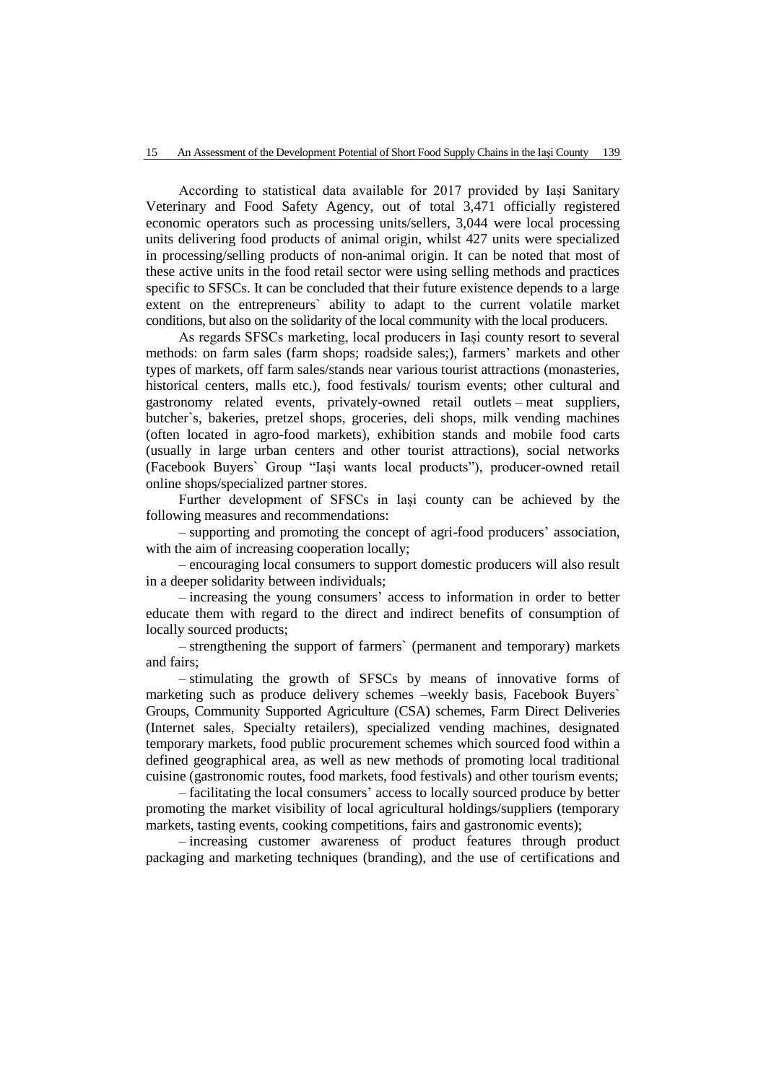According to statistical data available for 2017 provided by Iași Sanitary Veterinary and Food Safety Agency, out of total 3,471 officially registered economic operators such as processing units/sellers, 3,044 were local processing units delivering food products of animal origin, whilst 427 units were specialized in processing/selling products of non-animal origin. It can be noted that most of these active units in the food retail sector were using selling methods and practices specific to SFSCs. It can be concluded that their future existence depends to a large extent on the entrepreneurs` ability to adapt to the current volatile market conditions, but also on the solidarity of the local community with the local producers.

As regards SFSCs marketing, local producers in Iași county resort to several methods: on farm sales (farm shops; roadside sales;), farmers' markets and other types of markets, off farm sales/stands near various tourist attractions (monasteries, historical centers, malls etc.), food festivals/ tourism events; other cultural and gastronomy related events, privately-owned retail outlets – meat suppliers, butcher`s, bakeries, pretzel shops, groceries, deli shops, milk vending machines (often located in agro-food markets), exhibition stands and mobile food carts (usually in large urban centers and other tourist attractions), social networks (Facebook Buyers` Group "Iași wants local products"), producer-owned retail online shops/specialized partner stores.

Further development of SFSCs in Iași county can be achieved by the following measures and recommendations:

– supporting and promoting the concept of agri-food producers' association, with the aim of increasing cooperation locally;

– encouraging local consumers to support domestic producers will also result in a deeper solidarity between individuals;

– increasing the young consumers' access to information in order to better educate them with regard to the direct and indirect benefits of consumption of locally sourced products;

– strengthening the support of farmers` (permanent and temporary) markets and fairs;

– stimulating the growth of SFSCs by means of innovative forms of marketing such as produce delivery schemes –weekly basis, Facebook Buyers` Groups, Community Supported Agriculture (CSA) schemes, Farm Direct Deliveries (Internet sales, Specialty retailers), specialized vending machines, designated temporary markets, food public procurement schemes which sourced food within a defined geographical area, as well as new methods of promoting local traditional cuisine (gastronomic routes, food markets, food festivals) and other tourism events;

– facilitating the local consumers' access to locally sourced produce by better promoting the market visibility of local agricultural holdings/suppliers (temporary markets, tasting events, cooking competitions, fairs and gastronomic events);

– increasing customer awareness of product features through product packaging and marketing techniques (branding), and the use of certifications and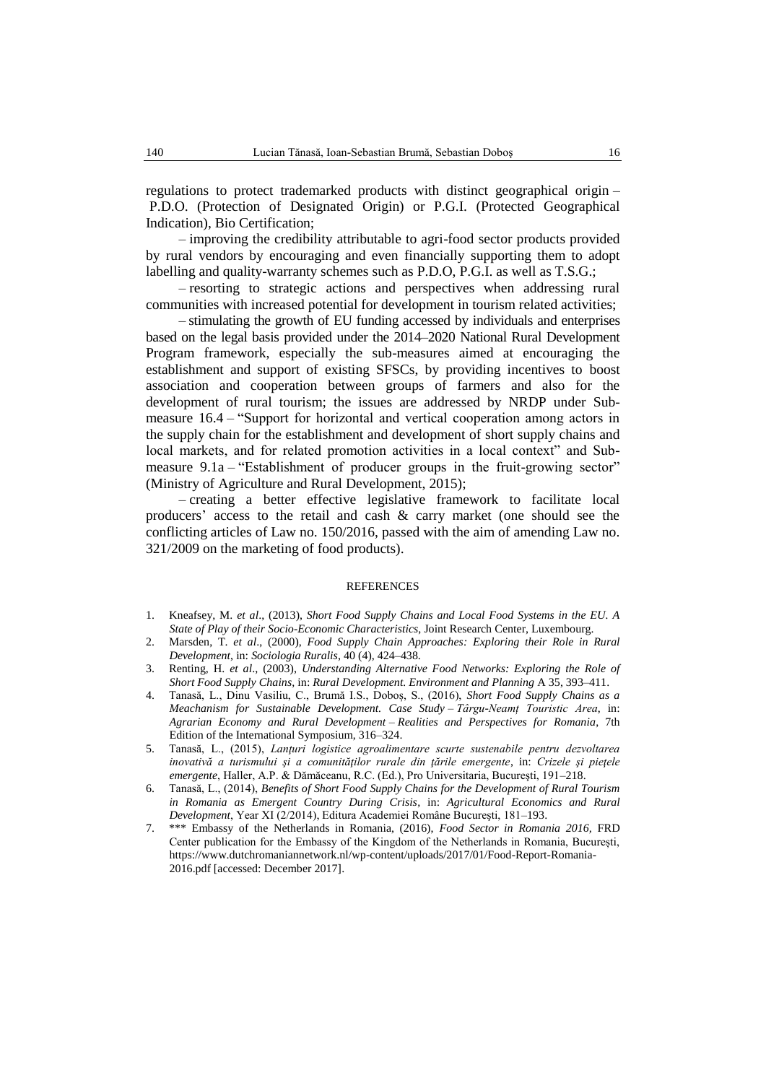regulations to protect trademarked products with distinct geographical origin – P.D.O. (Protection of Designated Origin) or P.G.I. (Protected Geographical Indication), Bio Certification;

– improving the credibility attributable to agri-food sector products provided by rural vendors by encouraging and even financially supporting them to adopt labelling and quality-warranty schemes such as P.D.O, P.G.I. as well as T.S.G.;

– resorting to strategic actions and perspectives when addressing rural communities with increased potential for development in tourism related activities;

– stimulating the growth of EU funding accessed by individuals and enterprises based on the legal basis provided under the 2014–2020 National Rural Development Program framework, especially the sub-measures aimed at encouraging the establishment and support of existing SFSCs, by providing incentives to boost association and cooperation between groups of farmers and also for the development of rural tourism; the issues are addressed by NRDP under Submeasure 16.4 – "Support for horizontal and vertical cooperation among actors in the supply chain for the establishment and development of short supply chains and local markets, and for related promotion activities in a local context" and Submeasure 9.1a – "Establishment of producer groups in the fruit-growing sector" (Ministry of Agriculture and Rural Development, 2015);

– creating a better effective legislative framework to facilitate local producers' access to the retail and cash & carry market (one should see the conflicting articles of Law no. 150/2016, passed with the aim of amending Law no. 321/2009 on the marketing of food products).

### **REFERENCES**

- 1. Kneafsey, M. *et al*., (2013), *Short Food Supply Chains and Local Food Systems in the EU. A State of Play of their Socio-Economic Characteristics*, Joint Research Center, Luxembourg.
- 2. Marsden, T. *et al*., (2000), *Food Supply Chain Approaches: Exploring their Role in Rural Development*, in: *Sociologia Ruralis*, 40 (4), 424–438.
- 3. Renting, H. *et al*., (2003), *Understanding Alternative Food Networks: Exploring the Role of Short Food Supply Chains,* in: *Rural Development. Environment and Planning* A 35, 393–411.
- 4. Tanasă, L., Dinu Vasiliu, C., Brumă I.S., Doboș, S., (2016), *Short Food Supply Chains as a Meachanism for Sustainable Development. Case Study – Târgu-Neamț Touristic Area*, in: *Agrarian Economy and Rural Development – Realities and Perspectives for Romania*, 7th Edition of the International Symposium, 316–324.
- 5. Tanasă, L., (2015), *Lanţuri logistice agroalimentare scurte sustenabile pentru dezvoltarea inovativă a turismului şi a comunităţilor rurale din ţările emergente*, in: *Crizele şi pieţele emergente*, Haller, A.P. & Dămăceanu, R.C. (Ed.), Pro Universitaria, Bucureşti, 191–218.
- 6. Tanasă, L., (2014), *Benefits of Short Food Supply Chains for the Development of Rural Tourism in Romania as Emergent Country During Crisis*, in: *Agricultural Economics and Rural Development*, Year XI (2/2014), Editura Academiei Române Bucureşti, 181–193.
- 7. \*\*\* Embassy of the Netherlands in Romania, (2016), *Food Sector in Romania 2016,* FRD Center publication for the Embassy of the Kingdom of the Netherlands in Romania, București, https://www.dutchromaniannetwork.nl/wp-content/uploads/2017/01/Food-Report-Romania-2016.pdf [accessed: December 2017].